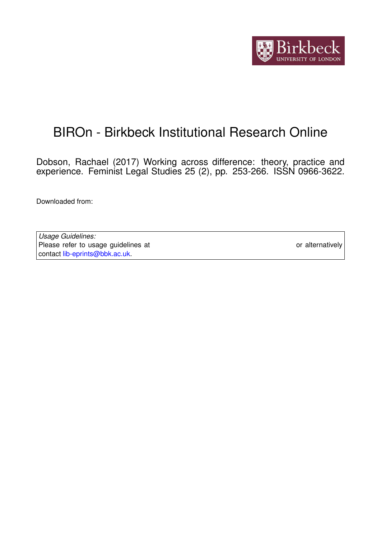

# BIROn - Birkbeck Institutional Research Online

Dobson, Rachael (2017) Working across difference: theory, practice and experience. Feminist Legal Studies 25 (2), pp. 253-266. ISSN 0966-3622.

Downloaded from: <https://eprints.bbk.ac.uk/id/eprint/20510/>

*Usage Guidelines:* Please refer to usage guidelines at <https://eprints.bbk.ac.uk/policies.html> or alternatively contact [lib-eprints@bbk.ac.uk.](mailto:lib-eprints@bbk.ac.uk)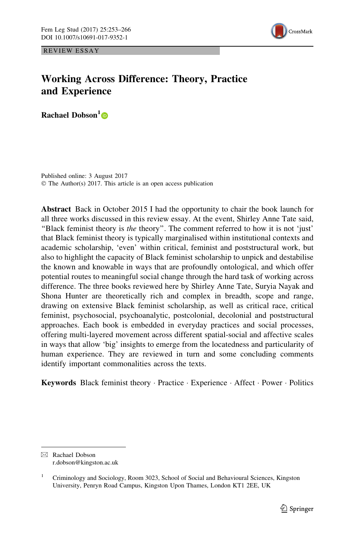REVIEW ESSAY



# Working Across Difference: Theory, Practice and Experience

Rachael Dobson<sup>1</sup>

Published online: 3 August 2017 © The Author(s) 2017. This article is an open access publication

Abstract Back in October 2015 I had the opportunity to chair the book launch for all three works discussed in this review essay. At the event, Shirley Anne Tate said, "Black feminist theory is the theory". The comment referred to how it is not 'just' that Black feminist theory is typically marginalised within institutional contexts and academic scholarship, 'even' within critical, feminist and poststructural work, but also to highlight the capacity of Black feminist scholarship to unpick and destabilise the known and knowable in ways that are profoundly ontological, and which offer potential routes to meaningful social change through the hard task of working across difference. The three books reviewed here by Shirley Anne Tate, Suryia Nayak and Shona Hunter are theoretically rich and complex in breadth, scope and range, drawing on extensive Black feminist scholarship, as well as critical race, critical feminist, psychosocial, psychoanalytic, postcolonial, decolonial and poststructural approaches. Each book is embedded in everyday practices and social processes, offering multi-layered movement across different spatial-social and affective scales in ways that allow 'big' insights to emerge from the locatedness and particularity of human experience. They are reviewed in turn and some concluding comments identify important commonalities across the texts.

Keywords Black feminist theory · Practice · Experience · Affect · Power · Politics

<sup>&</sup>amp; Rachael Dobson r.dobson@kingston.ac.uk

<sup>&</sup>lt;sup>1</sup> Criminology and Sociology, Room 3023, School of Social and Behavioural Sciences, Kingston University, Penryn Road Campus, Kingston Upon Thames, London KT1 2EE, UK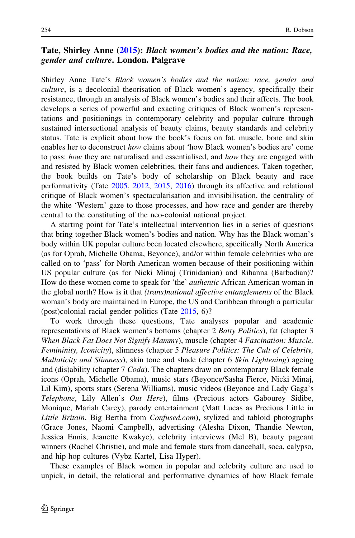### Tate, Shirley Anne [\(2015\)](#page-14-0): Black women's bodies and the nation: Race, gender and culture. London. Palgrave

Shirley Anne Tate's Black women's bodies and the nation: race, gender and culture, is a decolonial theorisation of Black women's agency, specifically their resistance, through an analysis of Black women's bodies and their affects. The book develops a series of powerful and exacting critiques of Black women's representations and positionings in contemporary celebrity and popular culture through sustained intersectional analysis of beauty claims, beauty standards and celebrity status. Tate is explicit about how the book's focus on fat, muscle, bone and skin enables her to deconstruct how claims about 'how Black women's bodies are' come to pass: how they are naturalised and essentialised, and how they are engaged with and resisted by Black women celebrities, their fans and audiences. Taken together, the book builds on Tate's body of scholarship on Black beauty and race performativity (Tate [2005](#page-14-0), [2012](#page-14-0), [2015,](#page-14-0) [2016](#page-14-0)) through its affective and relational critique of Black women's spectacularisation and invisibilisation, the centrality of the white 'Western' gaze to those processes, and how race and gender are thereby central to the constituting of the neo-colonial national project.

A starting point for Tate's intellectual intervention lies in a series of questions that bring together Black women's bodies and nation. Why has the Black woman's body within UK popular culture been located elsewhere, specifically North America (as for Oprah, Michelle Obama, Beyonce), and/or within female celebrities who are called on to 'pass' for North American women because of their positioning within US popular culture (as for Nicki Minaj (Trinidanian) and Rihanna (Barbadian)? How do these women come to speak for 'the' *authentic* African American woman in the global north? How is it that (trans)national affective entanglements of the Black woman's body are maintained in Europe, the US and Caribbean through a particular (post)colonial racial gender politics (Tate [2015,](#page-14-0) 6)?

To work through these questions, Tate analyses popular and academic representations of Black women's bottoms (chapter 2 Batty Politics), fat (chapter 3 When Black Fat Does Not Signify Mammy), muscle (chapter 4 Fascination: Muscle, Femininity, Iconicity), slimness (chapter 5 Pleasure Politics: The Cult of Celebrity, Mullaticity and Slimness), skin tone and shade (chapter 6 Skin Lightening) ageing and (dis)ability (chapter 7 *Coda*). The chapters draw on contemporary Black female icons (Oprah, Michelle Obama), music stars (Beyonce/Sasha Fierce, Nicki Minaj, Lil Kim), sports stars (Serena Williams), music videos (Beyonce and Lady Gaga's Telephone, Lily Allen's Out Here), films (Precious actors Gabourey Sidibe, Monique, Mariah Carey), parody entertainment (Matt Lucas as Precious Little in Little Britain, Big Bertha from *Confused.com*), stylized and tabloid photographs (Grace Jones, Naomi Campbell), advertising (Alesha Dixon, Thandie Newton, Jessica Ennis, Jeanette Kwakye), celebrity interviews (Mel B), beauty pageant winners (Rachel Christie), and male and female stars from dancehall, soca, calypso, and hip hop cultures (Vybz Kartel, Lisa Hyper).

These examples of Black women in popular and celebrity culture are used to unpick, in detail, the relational and performative dynamics of how Black female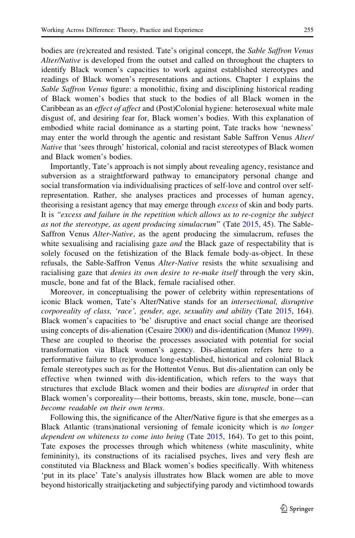identify Black women's capacities to work against established stereotypes and readings of Black women's representations and actions. Chapter 1 explains the Sable Saffron Venus figure: a monolithic, fixing and disciplining historical reading of Black women's bodies that stuck to the bodies of all Black women in the Caribbean as an effect of affect and (Post)Colonial hygiene: heterosexual white male disgust of, and desiring fear for, Black women's bodies. With this explanation of embodied white racial dominance as a starting point, Tate tracks how 'newness' may enter the world through the agentic and resistant Sable Saffron Venus Alter/ Native that 'sees through' historical, colonial and racist stereotypes of Black women and Black women's bodies.

Importantly, Tate's approach is not simply about revealing agency, resistance and subversion as a straightforward pathway to emancipatory personal change and social transformation via individualising practices of self-love and control over selfrepresentation. Rather, she analyses practices and processes of human agency, theorising a resistant agency that may emerge through excess of skin and body parts. It is ''excess and failure in the repetition which allows us to re-cognize the subject as not the stereotype, as agent producing simulacrum'' (Tate [2015](#page-14-0), 45). The Sable-Saffron Venus Alter-Native, as the agent producing the simulacrum, refuses the white sexualising and racialising gaze *and* the Black gaze of respectability that is solely focused on the fetishization of the Black female body-as-object. In these refusals, the Sable-Saffron Venus Alter-Native resists the white sexualising and racialising gaze that denies its own desire to re-make itself through the very skin, muscle, bone and fat of the Black, female racialised other.

Moreover, in conceptualising the power of celebrity within representations of iconic Black women, Tate's Alter/Native stands for an intersectional, disruptive corporeality of class, 'race', gender, age, sexuality and ability (Tate [2015](#page-14-0), 164). Black women's capacities to 'be' disruptive and enact social change are theorised using concepts of dis-alienation (Cesaire [2000\)](#page-13-0) and dis-identification (Munoz [1999\)](#page-14-0). These are coupled to theorise the processes associated with potential for social transformation via Black women's agency. Dis-alientation refers here to a performative failure to (re)produce long-established, historical and colonial Black female stereotypes such as for the Hottentot Venus. But dis-alientation can only be effective when twinned with dis-identification, which refers to the ways that structures that exclude Black women and their bodies are disrupted in order that Black women's corporeality—their bottoms, breasts, skin tone, muscle, bone—can become readable on their own terms.

Following this, the significance of the Alter/Native figure is that she emerges as a Black Atlantic (trans)national versioning of female iconicity which is no longer dependent on whiteness to come into being (Tate [2015](#page-14-0), 164). To get to this point, Tate exposes the processes through which whiteness (white masculinity, white femininity), its constructions of its racialised psyches, lives and very flesh are constituted via Blackness and Black women's bodies specifically. With whiteness 'put in its place' Tate's analysis illustrates how Black women are able to move beyond historically straitjacketing and subjectifying parody and victimhood towards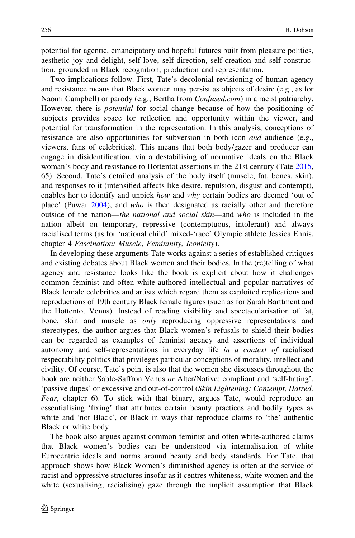potential for agentic, emancipatory and hopeful futures built from pleasure politics, aesthetic joy and delight, self-love, self-direction, self-creation and self-construction, grounded in Black recognition, production and representation.

Two implications follow. First, Tate's decolonial revisioning of human agency and resistance means that Black women may persist as objects of desire (e.g., as for Naomi Campbell) or parody (e.g., Bertha from *Confused.com*) in a racist patriarchy. However, there is potential for social change because of how the positioning of subjects provides space for reflection and opportunity within the viewer, and potential for transformation in the representation. In this analysis, conceptions of resistance are also opportunities for subversion in both icon *and* audience (e.g., viewers, fans of celebrities). This means that both body/gazer and producer can engage in disidentification, via a destabilising of normative ideals on the Black woman's body and resistance to Hottentot assertions in the 21st century (Tate [2015,](#page-14-0) 65). Second, Tate's detailed analysis of the body itself (muscle, fat, bones, skin), and responses to it (intensified affects like desire, repulsion, disgust and contempt), enables her to identify and unpick how and why certain bodies are deemed 'out of place' (Puwar [2004\)](#page-14-0), and who is then designated as racially other and therefore outside of the nation—the national and social skin—and who is included in the nation albeit on temporary, repressive (contemptuous, intolerant) and always racialised terms (as for 'national child' mixed-'race' Olympic athlete Jessica Ennis, chapter 4 Fascination: Muscle, Femininity, Iconicity).

In developing these arguments Tate works against a series of established critiques and existing debates about Black women and their bodies. In the (re)telling of what agency and resistance looks like the book is explicit about how it challenges common feminist and often white-authored intellectual and popular narratives of Black female celebrities and artists which regard them as exploited replications and reproductions of 19th century Black female figures (such as for Sarah Barttment and the Hottentot Venus). Instead of reading visibility and spectacularisation of fat, bone, skin and muscle as only reproducing oppressive representations and stereotypes, the author argues that Black women's refusals to shield their bodies can be regarded as examples of feminist agency and assertions of individual autonomy and self-representations in everyday life in a context of racialised respectability politics that privileges particular conceptions of morality, intellect and civility. Of course, Tate's point is also that the women she discusses throughout the book are neither Sable-Saffron Venus or Alter/Native: compliant and 'self-hating', 'passive dupes' or excessive and out-of-control (Skin Lightening: Contempt, Hatred, Fear, chapter 6). To stick with that binary, argues Tate, would reproduce an essentialising 'fixing' that attributes certain beauty practices and bodily types as white and 'not Black', or Black in ways that reproduce claims to 'the' authentic Black or white body.

The book also argues against common feminist and often white-authored claims that Black women's bodies can be understood via internalisation of white Eurocentric ideals and norms around beauty and body standards. For Tate, that approach shows how Black Women's diminished agency is often at the service of racist and oppressive structures insofar as it centres whiteness, white women and the white (sexualising, racialising) gaze through the implicit assumption that Black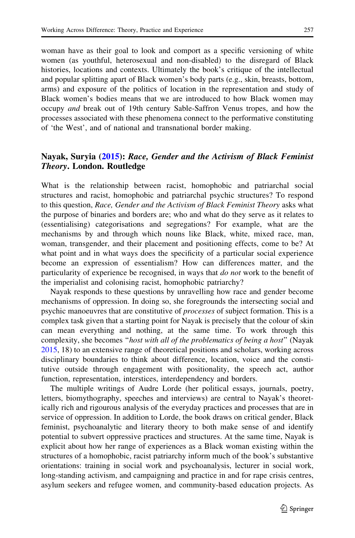woman have as their goal to look and comport as a specific versioning of white women (as youthful, heterosexual and non-disabled) to the disregard of Black histories, locations and contexts. Ultimately the book's critique of the intellectual and popular splitting apart of Black women's body parts (e.g., skin, breasts, bottom, arms) and exposure of the politics of location in the representation and study of Black women's bodies means that we are introduced to how Black women may occupy and break out of 19th century Sable-Saffron Venus tropes, and how the processes associated with these phenomena connect to the performative constituting of 'the West', and of national and transnational border making.

## Nayak, Suryia ([2015\)](#page-14-0): Race, Gender and the Activism of Black Feminist Theory. London. Routledge

What is the relationship between racist, homophobic and patriarchal social structures and racist, homophobic and patriarchal psychic structures? To respond to this question, Race, Gender and the Activism of Black Feminist Theory asks what the purpose of binaries and borders are; who and what do they serve as it relates to (essentialising) categorisations and segregations? For example, what are the mechanisms by and through which nouns like Black, white, mixed race, man, woman, transgender, and their placement and positioning effects, come to be? At what point and in what ways does the specificity of a particular social experience become an expression of essentialism? How can differences matter, and the particularity of experience be recognised, in ways that do not work to the benefit of the imperialist and colonising racist, homophobic patriarchy?

Nayak responds to these questions by unravelling how race and gender become mechanisms of oppression. In doing so, she foregrounds the intersecting social and psychic manoeuvres that are constitutive of processes of subject formation. This is a complex task given that a starting point for Nayak is precisely that the colour of skin can mean everything and nothing, at the same time. To work through this complexity, she becomes "host with all of the problematics of being a host" (Nayak [2015,](#page-14-0) 18) to an extensive range of theoretical positions and scholars, working across disciplinary boundaries to think about difference, location, voice and the constitutive outside through engagement with positionality, the speech act, author function, representation, interstices, interdependency and borders.

The multiple writings of Audre Lorde (her political essays, journals, poetry, letters, biomythography, speeches and interviews) are central to Nayak's theoretically rich and rigourous analysis of the everyday practices and processes that are in service of oppression. In addition to Lorde, the book draws on critical gender, Black feminist, psychoanalytic and literary theory to both make sense of and identify potential to subvert oppressive practices and structures. At the same time, Nayak is explicit about how her range of experiences as a Black woman existing within the structures of a homophobic, racist patriarchy inform much of the book's substantive orientations: training in social work and psychoanalysis, lecturer in social work, long-standing activism, and campaigning and practice in and for rape crisis centres, asylum seekers and refugee women, and community-based education projects. As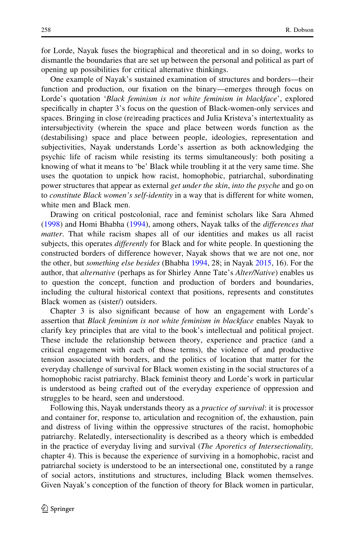for Lorde, Nayak fuses the biographical and theoretical and in so doing, works to dismantle the boundaries that are set up between the personal and political as part of opening up possibilities for critical alternative thinkings.

One example of Nayak's sustained examination of structures and borders—their function and production, our fixation on the binary—emerges through focus on Lorde's quotation *'Black feminism is not white feminism in blackface'*, explored specifically in chapter 3's focus on the question of Black-women-only services and spaces. Bringing in close (re)reading practices and Julia Kristeva's intertextuality as intersubjectivity (wherein the space and place between words function as the (destabilising) space and place between people, ideologies, representation and subjectivities, Nayak understands Lorde's assertion as both acknowledging the psychic life of racism while resisting its terms simultaneously: both positing a knowing of what it means to 'be' Black while troubling it at the very same time. She uses the quotation to unpick how racist, homophobic, patriarchal, subordinating power structures that appear as external *get under the skin, into the psyche* and go on to *constitute Black women's self-identity* in a way that is different for white women, white men and Black men.

Drawing on critical postcolonial, race and feminist scholars like Sara Ahmed [\(1998](#page-13-0)) and Homi Bhabha [\(1994](#page-13-0)), among others, Nayak talks of the differences that matter. That while racism shapes all of our identities and makes us all racist subjects, this operates *differently* for Black and for white people. In questioning the constructed borders of difference however, Nayak shows that we are not one, nor the other, but something else besides (Bhabha [1994,](#page-13-0) 28; in Nayak [2015](#page-14-0), 16). For the author, that *alternative* (perhaps as for Shirley Anne Tate's *Alter/Native*) enables us to question the concept, function and production of borders and boundaries, including the cultural historical context that positions, represents and constitutes Black women as (sister/) outsiders.

Chapter 3 is also significant because of how an engagement with Lorde's assertion that Black feminism is not white feminism in blackface enables Nayak to clarify key principles that are vital to the book's intellectual and political project. These include the relationship between theory, experience and practice (and a critical engagement with each of those terms), the violence of and productive tension associated with borders, and the politics of location that matter for the everyday challenge of survival for Black women existing in the social structures of a homophobic racist patriarchy. Black feminist theory and Lorde's work in particular is understood as being crafted out of the everyday experience of oppression and struggles to be heard, seen and understood.

Following this, Nayak understands theory as a *practice of survival*: it is processor and container for, response to, articulation and recognition of, the exhaustion, pain and distress of living within the oppressive structures of the racist, homophobic patriarchy. Relatedly, intersectionality is described as a theory which is embedded in the practice of everyday living and survival (The Aporetics of Intersectionality, chapter 4). This is because the experience of surviving in a homophobic, racist and patriarchal society is understood to be an intersectional one, constituted by a range of social actors, institutions and structures, including Black women themselves. Given Nayak's conception of the function of theory for Black women in particular,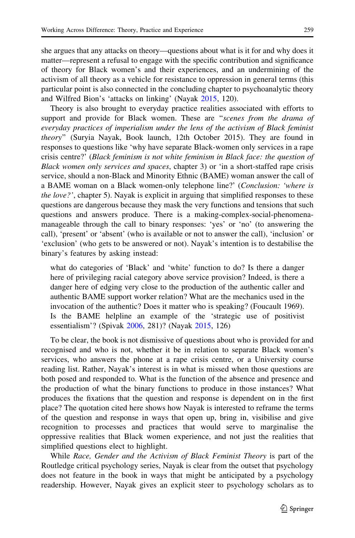she argues that any attacks on theory—questions about what is it for and why does it matter—represent a refusal to engage with the specific contribution and significance of theory for Black women's and their experiences, and an undermining of the activism of all theory as a vehicle for resistance to oppression in general terms (this particular point is also connected in the concluding chapter to psychoanalytic theory and Wilfred Bion's 'attacks on linking' (Nayak [2015,](#page-14-0) 120).

Theory is also brought to everyday practice realities associated with efforts to support and provide for Black women. These are "scenes from the drama of everyday practices of imperialism under the lens of the activism of Black feminist theory'' (Suryia Nayak, Book launch, 12th October 2015). They are found in responses to questions like 'why have separate Black-women only services in a rape crisis centre?' (Black feminism is not white feminism in Black face: the question of Black women only services and spaces, chapter 3) or 'in a short-staffed rape crisis service, should a non-Black and Minority Ethnic (BAME) woman answer the call of a BAME woman on a Black women-only telephone line?' (Conclusion: 'where is the love?', chapter 5). Nayak is explicit in arguing that simplified responses to these questions are dangerous because they mask the very functions and tensions that such questions and answers produce. There is a making-complex-social-phenomenamanageable through the call to binary responses: 'yes' or 'no' (to answering the call), 'present' or 'absent' (who is available or not to answer the call), 'inclusion' or 'exclusion' (who gets to be answered or not). Nayak's intention is to destabilise the binary's features by asking instead:

what do categories of 'Black' and 'white' function to do? Is there a danger here of privileging racial category above service provision? Indeed, is there a danger here of edging very close to the production of the authentic caller and authentic BAME support worker relation? What are the mechanics used in the invocation of the authentic? Does it matter who is speaking? (Foucault 1969). Is the BAME helpline an example of the 'strategic use of positivist essentialism'? (Spivak [2006,](#page-14-0) 281)? (Nayak [2015](#page-14-0), 126)

To be clear, the book is not dismissive of questions about who is provided for and recognised and who is not, whether it be in relation to separate Black women's services, who answers the phone at a rape crisis centre, or a University course reading list. Rather, Nayak's interest is in what is missed when those questions are both posed and responded to. What is the function of the absence and presence and the production of what the binary functions to produce in those instances? What produces the fixations that the question and response is dependent on in the first place? The quotation cited here shows how Nayak is interested to reframe the terms of the question and response in ways that open up, bring in, visibilise and give recognition to processes and practices that would serve to marginalise the oppressive realities that Black women experience, and not just the realities that simplified questions elect to highlight.

While Race, Gender and the Activism of Black Feminist Theory is part of the Routledge critical psychology series, Nayak is clear from the outset that psychology does not feature in the book in ways that might be anticipated by a psychology readership. However, Nayak gives an explicit steer to psychology scholars as to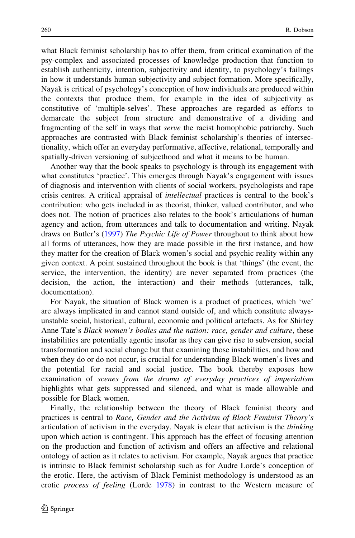what Black feminist scholarship has to offer them, from critical examination of the psy-complex and associated processes of knowledge production that function to establish authenticity, intention, subjectivity and identity, to psychology's failings in how it understands human subjectivity and subject formation. More specifically, Nayak is critical of psychology's conception of how individuals are produced within the contexts that produce them, for example in the idea of subjectivity as constitutive of 'multiple-selves'. These approaches are regarded as efforts to demarcate the subject from structure and demonstrative of a dividing and fragmenting of the self in ways that serve the racist homophobic patriarchy. Such approaches are contrasted with Black feminist scholarship's theories of intersectionality, which offer an everyday performative, affective, relational, temporally and spatially-driven versioning of subjecthood and what it means to be human.

Another way that the book speaks to psychology is through its engagement with what constitutes 'practice'. This emerges through Nayak's engagement with issues of diagnosis and intervention with clients of social workers, psychologists and rape crisis centres. A critical appraisal of intellectual practices is central to the book's contribution: who gets included in as theorist, thinker, valued contributor, and who does not. The notion of practices also relates to the book's articulations of human agency and action, from utterances and talk to documentation and writing. Nayak draws on Butler's [\(1997\)](#page-13-0) The Psychic Life of Power throughout to think about how all forms of utterances, how they are made possible in the first instance, and how they matter for the creation of Black women's social and psychic reality within any given context. A point sustained throughout the book is that 'things' (the event, the service, the intervention, the identity) are never separated from practices (the decision, the action, the interaction) and their methods (utterances, talk, documentation).

For Nayak, the situation of Black women is a product of practices, which 'we' are always implicated in and cannot stand outside of, and which constitute alwaysunstable social, historical, cultural, economic and political artefacts. As for Shirley Anne Tate's Black women's bodies and the nation: race, gender and culture, these instabilities are potentially agentic insofar as they can give rise to subversion, social transformation and social change but that examining those instabilities, and how and when they do or do not occur, is crucial for understanding Black women's lives and the potential for racial and social justice. The book thereby exposes how examination of scenes from the drama of everyday practices of imperialism highlights what gets suppressed and silenced, and what is made allowable and possible for Black women.

Finally, the relationship between the theory of Black feminist theory and practices is central to Race, Gender and the Activism of Black Feminist Theory's articulation of activism in the everyday. Nayak is clear that activism is the *thinking* upon which action is contingent. This approach has the effect of focusing attention on the production and function of activism and offers an affective and relational ontology of action as it relates to activism. For example, Nayak argues that practice is intrinsic to Black feminist scholarship such as for Audre Lorde's conception of the erotic. Here, the activism of Black Feminist methodology is understood as an erotic *process of feeling* (Lorde [1978](#page-13-0)) in contrast to the Western measure of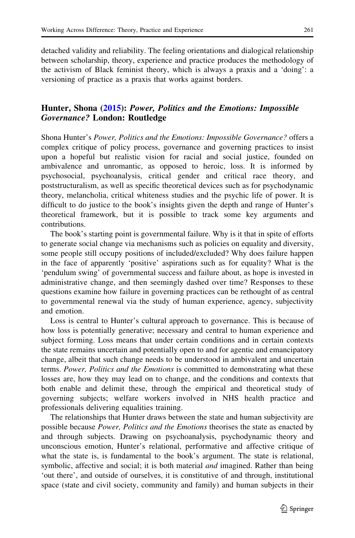detached validity and reliability. The feeling orientations and dialogical relationship between scholarship, theory, experience and practice produces the methodology of the activism of Black feminist theory, which is always a praxis and a 'doing': a versioning of practice as a praxis that works against borders.

#### Hunter, Shona ([2015\)](#page-13-0): Power, Politics and the Emotions: Impossible Governance? London: Routledge

Shona Hunter's Power, Politics and the Emotions: Impossible Governance? offers a complex critique of policy process, governance and governing practices to insist upon a hopeful but realistic vision for racial and social justice, founded on ambivalence and unromantic, as opposed to heroic, loss. It is informed by psychosocial, psychoanalysis, critical gender and critical race theory, and poststructuralism, as well as specific theoretical devices such as for psychodynamic theory, melancholia, critical whiteness studies and the psychic life of power. It is difficult to do justice to the book's insights given the depth and range of Hunter's theoretical framework, but it is possible to track some key arguments and contributions.

The book's starting point is governmental failure. Why is it that in spite of efforts to generate social change via mechanisms such as policies on equality and diversity, some people still occupy positions of included/excluded? Why does failure happen in the face of apparently 'positive' aspirations such as for equality? What is the 'pendulum swing' of governmental success and failure about, as hope is invested in administrative change, and then seemingly dashed over time? Responses to these questions examine how failure in governing practices can be rethought of as central to governmental renewal via the study of human experience, agency, subjectivity and emotion.

Loss is central to Hunter's cultural approach to governance. This is because of how loss is potentially generative; necessary and central to human experience and subject forming. Loss means that under certain conditions and in certain contexts the state remains uncertain and potentially open to and for agentic and emancipatory change, albeit that such change needs to be understood in ambivalent and uncertain terms. Power, Politics and the Emotions is committed to demonstrating what these losses are, how they may lead on to change, and the conditions and contexts that both enable and delimit these, through the empirical and theoretical study of governing subjects; welfare workers involved in NHS health practice and professionals delivering equalities training.

The relationships that Hunter draws between the state and human subjectivity are possible because *Power, Politics and the Emotions* theorises the state as enacted by and through subjects. Drawing on psychoanalysis, psychodynamic theory and unconscious emotion, Hunter's relational, performative and affective critique of what the state is, is fundamental to the book's argument. The state is relational, symbolic, affective and social; it is both material *and* imagined. Rather than being 'out there', and outside of ourselves, it is constitutive of and through, institutional space (state and civil society, community and family) and human subjects in their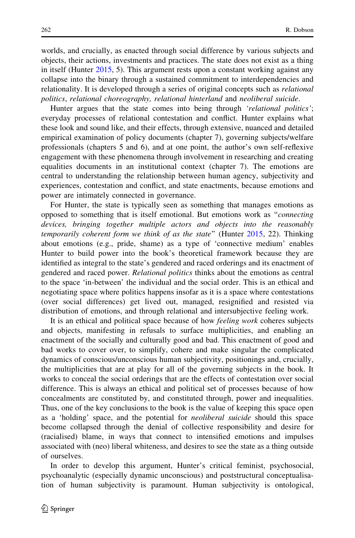worlds, and crucially, as enacted through social difference by various subjects and objects, their actions, investments and practices. The state does not exist as a thing in itself (Hunter [2015,](#page-13-0) 5). This argument rests upon a constant working against any collapse into the binary through a sustained commitment to interdependencies and relationality. It is developed through a series of original concepts such as *relational* politics, relational choreography, relational hinterland and neoliberal suicide.

Hunter argues that the state comes into being through *'relational politics'*; everyday processes of relational contestation and conflict. Hunter explains what these look and sound like, and their effects, through extensive, nuanced and detailed empirical examination of policy documents (chapter 7), governing subjects/welfare professionals (chapters 5 and 6), and at one point, the author's own self-reflexive engagement with these phenomena through involvement in researching and creating equalities documents in an institutional context (chapter 7). The emotions are central to understanding the relationship between human agency, subjectivity and experiences, contestation and conflict, and state enactments, because emotions and power are intimately connected in governance.

For Hunter, the state is typically seen as something that manages emotions as opposed to something that is itself emotional. But emotions work as ''connecting devices, bringing together multiple actors and objects into the reasonably temporarily coherent form we think of as the state'' (Hunter [2015,](#page-13-0) 22). Thinking about emotions (e.g., pride, shame) as a type of 'connective medium' enables Hunter to build power into the book's theoretical framework because they are identified as integral to the state's gendered and raced orderings and its enactment of gendered and raced power. Relational politics thinks about the emotions as central to the space 'in-between' the individual and the social order. This is an ethical and negotiating space where politics happens insofar as it is a space where contestations (over social differences) get lived out, managed, resignified and resisted via distribution of emotions, and through relational and intersubjective feeling work.

It is an ethical and political space because of how feeling work coheres subjects and objects, manifesting in refusals to surface multiplicities, and enabling an enactment of the socially and culturally good and bad. This enactment of good and bad works to cover over, to simplify, cohere and make singular the complicated dynamics of conscious/unconscious human subjectivity, positionings and, crucially, the multiplicities that are at play for all of the governing subjects in the book. It works to conceal the social orderings that are the effects of contestation over social difference. This is always an ethical and political set of processes because of how concealments are constituted by, and constituted through, power and inequalities. Thus, one of the key conclusions to the book is the value of keeping this space open as a 'holding' space, and the potential for *neoliberal suicide* should this space become collapsed through the denial of collective responsibility and desire for (racialised) blame, in ways that connect to intensified emotions and impulses associated with (neo) liberal whiteness, and desires to see the state as a thing outside of ourselves.

In order to develop this argument, Hunter's critical feminist, psychosocial, psychoanalytic (especially dynamic unconscious) and poststructural conceptualisation of human subjectivity is paramount. Human subjectivity is ontological,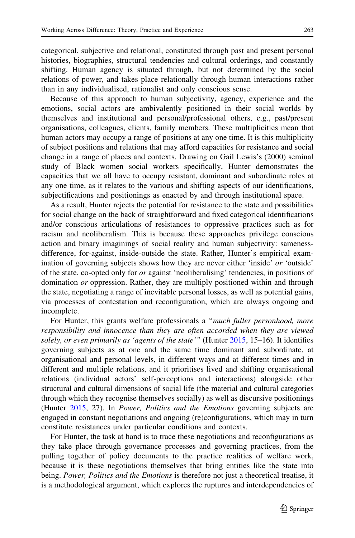categorical, subjective and relational, constituted through past and present personal histories, biographies, structural tendencies and cultural orderings, and constantly shifting. Human agency is situated through, but not determined by the social relations of power, and takes place relationally through human interactions rather than in any individualised, rationalist and only conscious sense.

Because of this approach to human subjectivity, agency, experience and the emotions, social actors are ambivalently positioned in their social worlds by themselves and institutional and personal/professional others, e.g., past/present organisations, colleagues, clients, family members. These multiplicities mean that human actors may occupy a range of positions at any one time. It is this multiplicity of subject positions and relations that may afford capacities for resistance and social change in a range of places and contexts. Drawing on Gail Lewis's (2000) seminal study of Black women social workers specifically, Hunter demonstrates the capacities that we all have to occupy resistant, dominant and subordinate roles at any one time, as it relates to the various and shifting aspects of our identifications, subjectifications and positionings as enacted by and through institutional space.

As a result, Hunter rejects the potential for resistance to the state and possibilities for social change on the back of straightforward and fixed categorical identifications and/or conscious articulations of resistances to oppressive practices such as for racism and neoliberalism. This is because these approaches privilege conscious action and binary imaginings of social reality and human subjectivity: samenessdifference, for-against, inside-outside the state. Rather, Hunter's empirical examination of governing subjects shows how they are never either 'inside' or 'outside' of the state, co-opted only for or against 'neoliberalising' tendencies, in positions of domination or oppression. Rather, they are multiply positioned within and through the state, negotiating a range of inevitable personal losses, as well as potential gains, via processes of contestation and reconfiguration, which are always ongoing and incomplete.

For Hunter, this grants welfare professionals a "much fuller personhood, more responsibility and innocence than they are often accorded when they are viewed solely, or even primarily as 'agents of the state'" (Hunter  $2015$ , 15-16). It identifies governing subjects as at one and the same time dominant and subordinate, at organisational and personal levels, in different ways and at different times and in different and multiple relations, and it prioritises lived and shifting organisational relations (individual actors' self-perceptions and interactions) alongside other structural and cultural dimensions of social life (the material and cultural categories through which they recognise themselves socially) as well as discursive positionings (Hunter [2015,](#page-13-0) 27). In Power, Politics and the Emotions governing subjects are engaged in constant negotiations and ongoing (re)configurations, which may in turn constitute resistances under particular conditions and contexts.

For Hunter, the task at hand is to trace these negotiations and reconfigurations as they take place through governance processes and governing practices, from the pulling together of policy documents to the practice realities of welfare work, because it is these negotiations themselves that bring entities like the state into being. Power, Politics and the Emotions is therefore not just a theoretical treatise, it is a methodological argument, which explores the ruptures and interdependencies of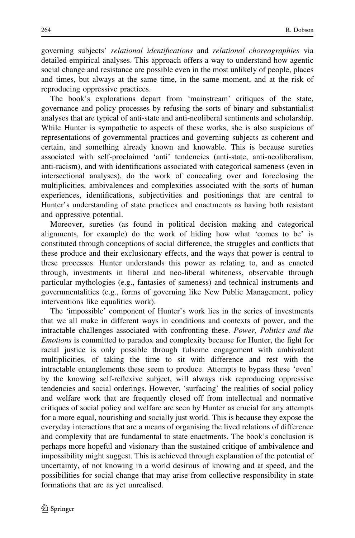governing subjects' relational identifications and relational choreographies via detailed empirical analyses. This approach offers a way to understand how agentic social change and resistance are possible even in the most unlikely of people, places and times, but always at the same time, in the same moment, and at the risk of reproducing oppressive practices.

The book's explorations depart from 'mainstream' critiques of the state, governance and policy processes by refusing the sorts of binary and substantialist analyses that are typical of anti-state and anti-neoliberal sentiments and scholarship. While Hunter is sympathetic to aspects of these works, she is also suspicious of representations of governmental practices and governing subjects as coherent and certain, and something already known and knowable. This is because sureties associated with self-proclaimed 'anti' tendencies (anti-state, anti-neoliberalism, anti-racism), and with identifications associated with categorical sameness (even in intersectional analyses), do the work of concealing over and foreclosing the multiplicities, ambivalences and complexities associated with the sorts of human experiences, identifications, subjectivities and positionings that are central to Hunter's understanding of state practices and enactments as having both resistant and oppressive potential.

Moreover, sureties (as found in political decision making and categorical alignments, for example) do the work of hiding how what 'comes to be' is constituted through conceptions of social difference, the struggles and conflicts that these produce and their exclusionary effects, and the ways that power is central to these processes. Hunter understands this power as relating to, and as enacted through, investments in liberal and neo-liberal whiteness, observable through particular mythologies (e.g., fantasies of sameness) and technical instruments and governmentalities (e.g., forms of governing like New Public Management, policy interventions like equalities work).

The 'impossible' component of Hunter's work lies in the series of investments that we all make in different ways in conditions and contexts of power, and the intractable challenges associated with confronting these. Power, Politics and the Emotions is committed to paradox and complexity because for Hunter, the fight for racial justice is only possible through fulsome engagement with ambivalent multiplicities, of taking the time to sit with difference and rest with the intractable entanglements these seem to produce. Attempts to bypass these 'even' by the knowing self-reflexive subject, will always risk reproducing oppressive tendencies and social orderings. However, 'surfacing' the realities of social policy and welfare work that are frequently closed off from intellectual and normative critiques of social policy and welfare are seen by Hunter as crucial for any attempts for a more equal, nourishing and socially just world. This is because they expose the everyday interactions that are a means of organising the lived relations of difference and complexity that are fundamental to state enactments. The book's conclusion is perhaps more hopeful and visionary than the sustained critique of ambivalence and impossibility might suggest. This is achieved through explanation of the potential of uncertainty, of not knowing in a world desirous of knowing and at speed, and the possibilities for social change that may arise from collective responsibility in state formations that are as yet unrealised.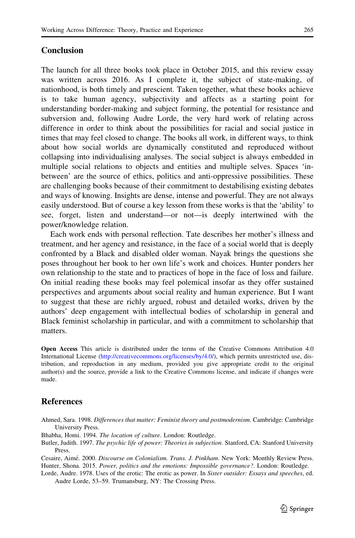#### <span id="page-13-0"></span>Conclusion

The launch for all three books took place in October 2015, and this review essay was written across 2016. As I complete it, the subject of state-making, of nationhood, is both timely and prescient. Taken together, what these books achieve is to take human agency, subjectivity and affects as a starting point for understanding border-making and subject forming, the potential for resistance and subversion and, following Audre Lorde, the very hard work of relating across difference in order to think about the possibilities for racial and social justice in times that may feel closed to change. The books all work, in different ways, to think about how social worlds are dynamically constituted and reproduced without collapsing into individualising analyses. The social subject is always embedded in multiple social relations to objects and entities and multiple selves. Spaces 'inbetween' are the source of ethics, politics and anti-oppressive possibilities. These are challenging books because of their commitment to destabilising existing debates and ways of knowing. Insights are dense, intense and powerful. They are not always easily understood. But of course a key lesson from these works is that the 'ability' to see, forget, listen and understand—or not—is deeply intertwined with the power/knowledge relation.

Each work ends with personal reflection. Tate describes her mother's illness and treatment, and her agency and resistance, in the face of a social world that is deeply confronted by a Black and disabled older woman. Nayak brings the questions she poses throughout her book to her own life's work and choices. Hunter ponders her own relationship to the state and to practices of hope in the face of loss and failure. On initial reading these books may feel polemical insofar as they offer sustained perspectives and arguments about social reality and human experience. But I want to suggest that these are richly argued, robust and detailed works, driven by the authors' deep engagement with intellectual bodies of scholarship in general and Black feminist scholarship in particular, and with a commitment to scholarship that matters.

Open Access This article is distributed under the terms of the Creative Commons Attribution 4.0 International License ([http://creativecommons.org/licenses/by/4.0/\)](http://creativecommons.org/licenses/by/4.0/), which permits unrestricted use, distribution, and reproduction in any medium, provided you give appropriate credit to the original author(s) and the source, provide a link to the Creative Commons license, and indicate if changes were made.

#### References

- Ahmed, Sara. 1998. Differences that matter: Feminist theory and postmodernism. Cambridge: Cambridge University Press.
- Bhabha, Homi. 1994. The location of culture. London: Routledge.
- Butler, Judith. 1997. The psychic life of power: Theories in subjection. Stanford, CA: Stanford University Press.
- Cesaire, Aimé. 2000. Discourse on Colonialism. Trans. J. Pinkham. New York: Monthly Review Press. Hunter, Shona. 2015. Power, politics and the emotions: Impossible governance?. London: Routledge.
- Lorde, Audre. 1978. Uses of the erotic: The erotic as power. In Sister outsider: Essays and speeches, ed. Audre Lorde, 53–59. Trumansburg, NY: The Crossing Press.